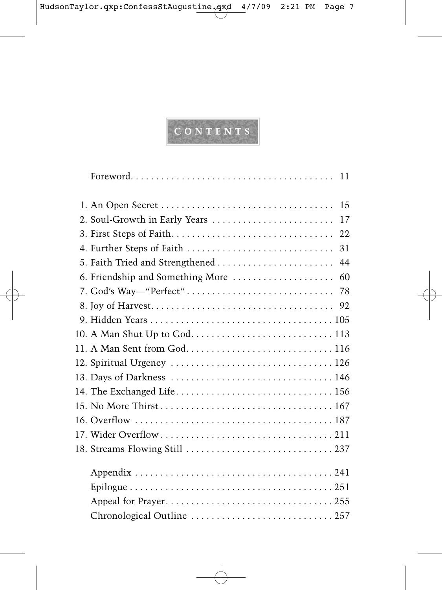

| 2. Soul-Growth in Early Years  17   |
|-------------------------------------|
|                                     |
|                                     |
| 5. Faith Tried and Strengthened  44 |
|                                     |
|                                     |
|                                     |
|                                     |
|                                     |
|                                     |
|                                     |
|                                     |
|                                     |
|                                     |
|                                     |
|                                     |
|                                     |
|                                     |
|                                     |
|                                     |
|                                     |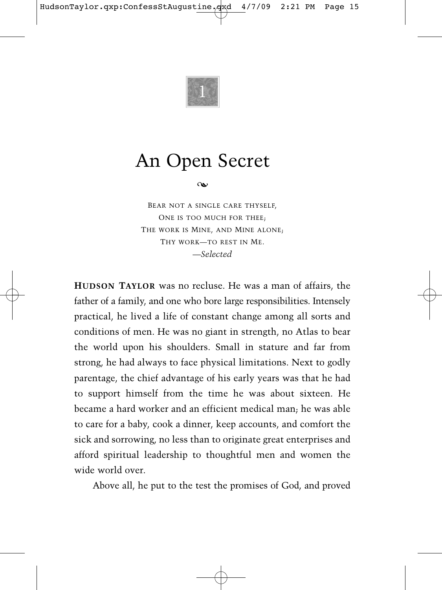

## An Open Secret

 $\infty$ 

BEAR NOT A SINGLE CARE THYSELF, ONE IS TOO MUCH FOR THEE; THE WORK IS MINE, AND MINE ALONE; THY WORK—TO REST IN ME. *—Selected*

**HUDSON TAYLOR** was no recluse. He was a man of affairs, the father of a family, and one who bore large responsibilities. Intensely practical, he lived a life of constant change among all sorts and conditions of men. He was no giant in strength, no Atlas to bear the world upon his shoulders. Small in stature and far from strong, he had always to face physical limitations. Next to godly parentage, the chief advantage of his early years was that he had to support himself from the time he was about sixteen. He became a hard worker and an efficient medical man; he was able to care for a baby, cook a dinner, keep accounts, and comfort the sick and sorrowing, no less than to originate great enterprises and afford spiritual leadership to thoughtful men and women the wide world over.

Above all, he put to the test the promises of God, and proved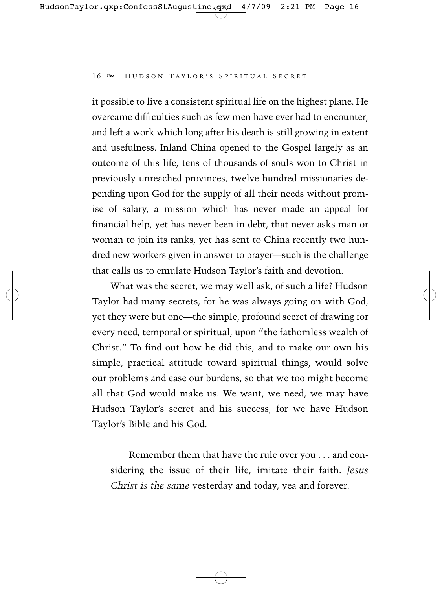it possible to live a consistent spiritual life on the highest plane. He overcame difficulties such as few men have ever had to encounter, and left a work which long after his death is still growing in extent and usefulness. Inland China opened to the Gospel largely as an outcome of this life, tens of thousands of souls won to Christ in previously un reached provinces, twelve hundred missionaries de pending upon God for the supply of all their needs without promise of salary, a mission which has never made an appeal for financial help, yet has never been in debt, that never asks man or woman to join its ranks, yet has sent to China recently two hundred new workers given in answer to prayer—such is the challenge that calls us to emulate Hudson Taylor's faith and devotion.

What was the secret, we may well ask, of such a life? Hudson Taylor had many secrets, for he was always going on with God, yet they were but one—the simple, profound secret of drawing for every need, temporal or spiritual, upon "the fathomless wealth of Christ." To find out how he did this, and to make our own his simple, practical attitude toward spiritual things, would solve our problems and ease our burdens, so that we too might become all that God would make us. We want, we need, we may have Hudson Taylor's secret and his success, for we have Hudson Taylor's Bible and his God.

Remember them that have the rule over you . . . and considering the issue of their life, imitate their faith. *Jesus Christ is the same* yesterday and today, yea and forever.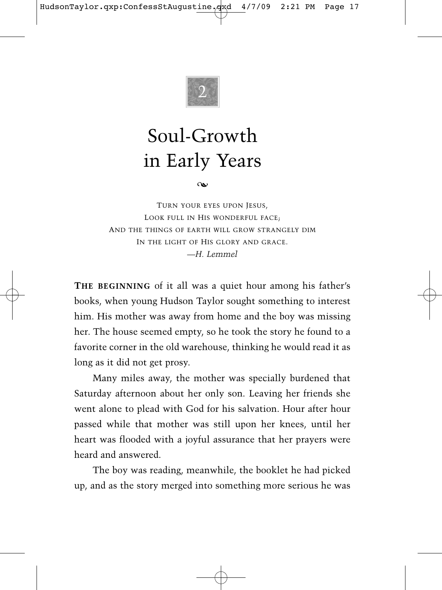

## Soul-Growth in Early Years

 $\alpha$ 

TURN YOUR EYES UPON JESUS, LOOK FULL IN HIS WONDERFUL FACE; AND THE THINGS OF EARTH WILL GROW STRANGELY DIM IN THE LIGHT OF HIS GLORY AND GRACE. *—H. Lemmel*

**THE BEGINNING** of it all was a quiet hour among his father's books, when young Hudson Taylor sought something to interest him. His mother was away from home and the boy was missing her. The house seemed empty, so he took the story he found to a favorite corner in the old warehouse, thinking he would read it as long as it did not get prosy.

Many miles away, the mother was specially burdened that Saturday afternoon about her only son. Leaving her friends she went alone to plead with God for his salvation. Hour after hour passed while that mother was still upon her knees, until her heart was flooded with a joyful assurance that her prayers were heard and answered.

The boy was reading, meanwhile, the booklet he had picked up, and as the story merged into something more serious he was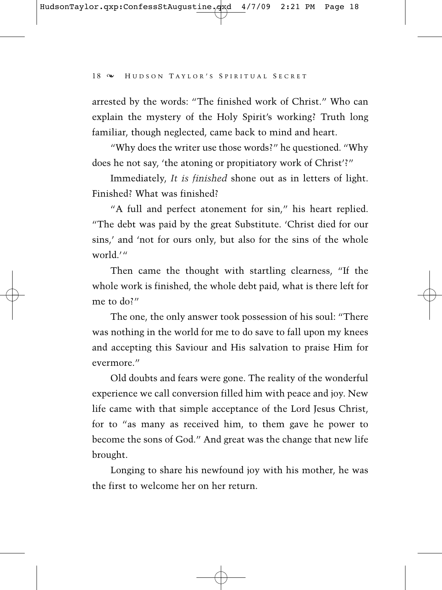arrested by the words: "The finished work of Christ." Who can explain the mystery of the Holy Spirit's working? Truth long familiar, though neglected, came back to mind and heart.

"Why does the writer use those words?" he questioned. "Why" does he not say, 'the atoning or propitiatory work of Christ'?"

Immediately, *It is finished* shone out as in letters of light. Finished? What was finished?

"A full and perfect atonement for sin," his heart replied. "The debt was paid by the great Substitute. 'Christ died for our sins,' and 'not for ours only, but also for the sins of the whole world<sup>'"</sup>

Then came the thought with startling clearness, "If the whole work is finished, the whole debt paid, what is there left for me to do?"

The one, the only answer took possession of his soul: "There was nothing in the world for me to do save to fall upon my knees and accepting this Saviour and His salvation to praise Him for evermore."

Old doubts and fears were gone. The reality of the wonderful experience we call conversion filled him with peace and joy. New life came with that simple acceptance of the Lord Jesus Christ, for to "as many as received him, to them gave he power to become the sons of God." And great was the change that new life brought.

Longing to share his newfound joy with his mother, he was the first to welcome her on her return.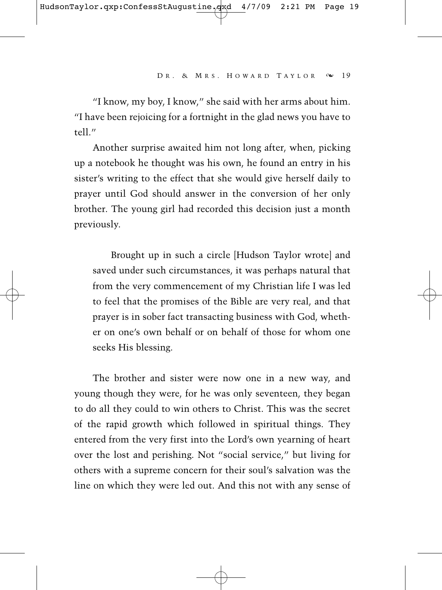"I know, my boy, I know," she said with her arms about him. "I have been rejoicing for a fortnight in the glad news you have to tell $"$ 

Another surprise awaited him not long after, when, picking up a notebook he thought was his own, he found an entry in his sister's writing to the effect that she would give herself daily to prayer until God should answer in the conversion of her only brother. The young girl had recorded this decision just a month previously.

Brought up in such a circle [Hudson Taylor wrote] and saved under such circumstances, it was perhaps natural that from the very commencement of my Christian life I was led to feel that the promises of the Bible are very real, and that prayer is in sober fact transacting business with God, whether on one's own behalf or on behalf of those for whom one seeks His blessing.

The brother and sister were now one in a new way, and young though they were, for he was only seventeen, they began to do all they could to win others to Christ. This was the secret of the rapid growth which followed in spiritual things. They entered from the very first into the Lord's own yearning of heart over the lost and perishing. Not "social service," but living for others with a supreme concern for their soul's salvation was the line on which they were led out. And this not with any sense of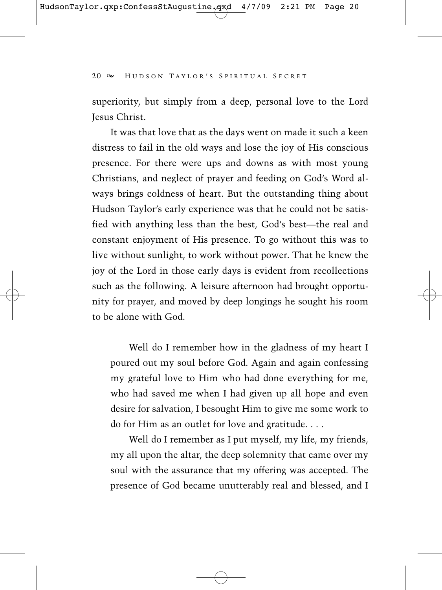superiority, but simply from a deep, personal love to the Lord Jesus Christ.

It was that love that as the days went on made it such a keen distress to fail in the old ways and lose the joy of His conscious presence. For there were ups and downs as with most young Christians, and neglect of prayer and feeding on God's Word always brings coldness of heart. But the outstanding thing about Hudson Taylor's early experience was that he could not be satisfied with anything less than the best, God's best—the real and constant enjoyment of His presence. To go without this was to live without sunlight, to work without power. That he knew the joy of the Lord in those early days is evident from recollections such as the following. A leisure afternoon had brought opportunity for prayer, and moved by deep longings he sought his room to be alone with God.

Well do I remember how in the gladness of my heart I poured out my soul before God. Again and again confessing my grateful love to Him who had done everything for me, who had saved me when I had given up all hope and even desire for salvation, I besought Him to give me some work to do for Him as an outlet for love and gratitude. . . .

Well do I remember as I put myself, my life, my friends, my all upon the altar, the deep solemnity that came over my soul with the assurance that my offering was accepted. The presence of God became unutterably real and blessed, and I